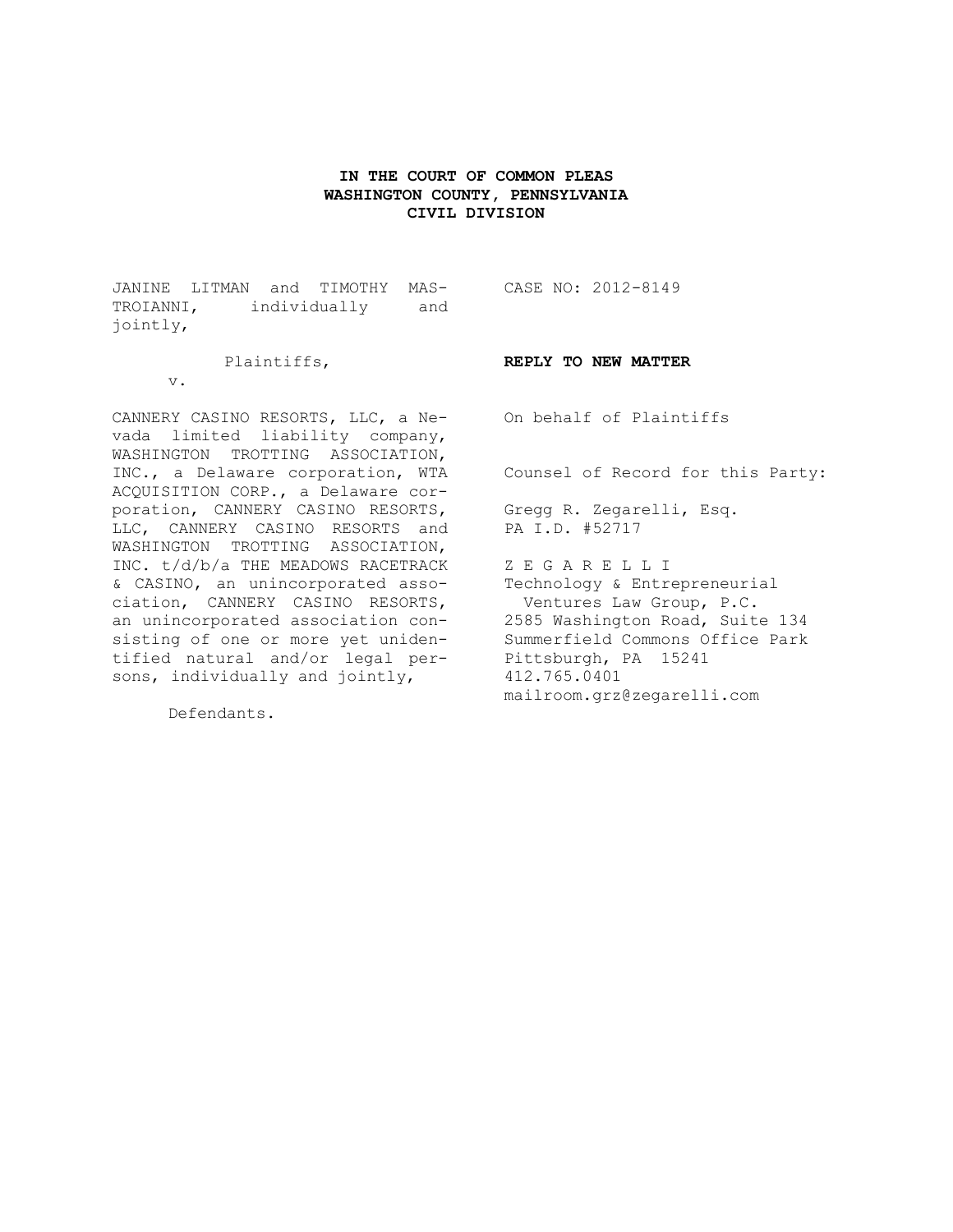# **IN THE COURT OF COMMON PLEAS WASHINGTON COUNTY, PENNSYLVANIA CIVIL DIVISION**

JANINE LITMAN and TIMOTHY MAS-CASE NO: 2012-8149 TROIANNI, individually and jointly,

vada limited liability company, WASHINGTON TROTTING ASSOCIATION, INC., a Delaware corporation, WTA ACQUISITION CORP., a Delaware corporation, CANNERY CASINO RESORTS, LLC, CANNERY CASINO RESORTS and WASHINGTON TROTTING ASSOCIATION, INC. t/d/b/a THE MEADOWS RACETRACK & CASINO, an unincorporated association, CANNERY CASINO RESORTS, an unincorporated association consisting of one or more yet unidentified natural and/or legal persons, individually and jointly,

Plaintiffs,

v.

**REPLY TO NEW MATTER**

CANNERY CASINO RESORTS, LLC, a Ne-On behalf of Plaintiffs

Counsel of Record for this Party:

Gregg R. Zegarelli, Esq. PA I.D. #52717

Z E G A R E L L I Technology & Entrepreneurial Ventures Law Group, P.C. 2585 Washington Road, Suite 134 Summerfield Commons Office Park Pittsburgh, PA 15241 412.765.0401 mailroom.grz@zegarelli.com

Defendants.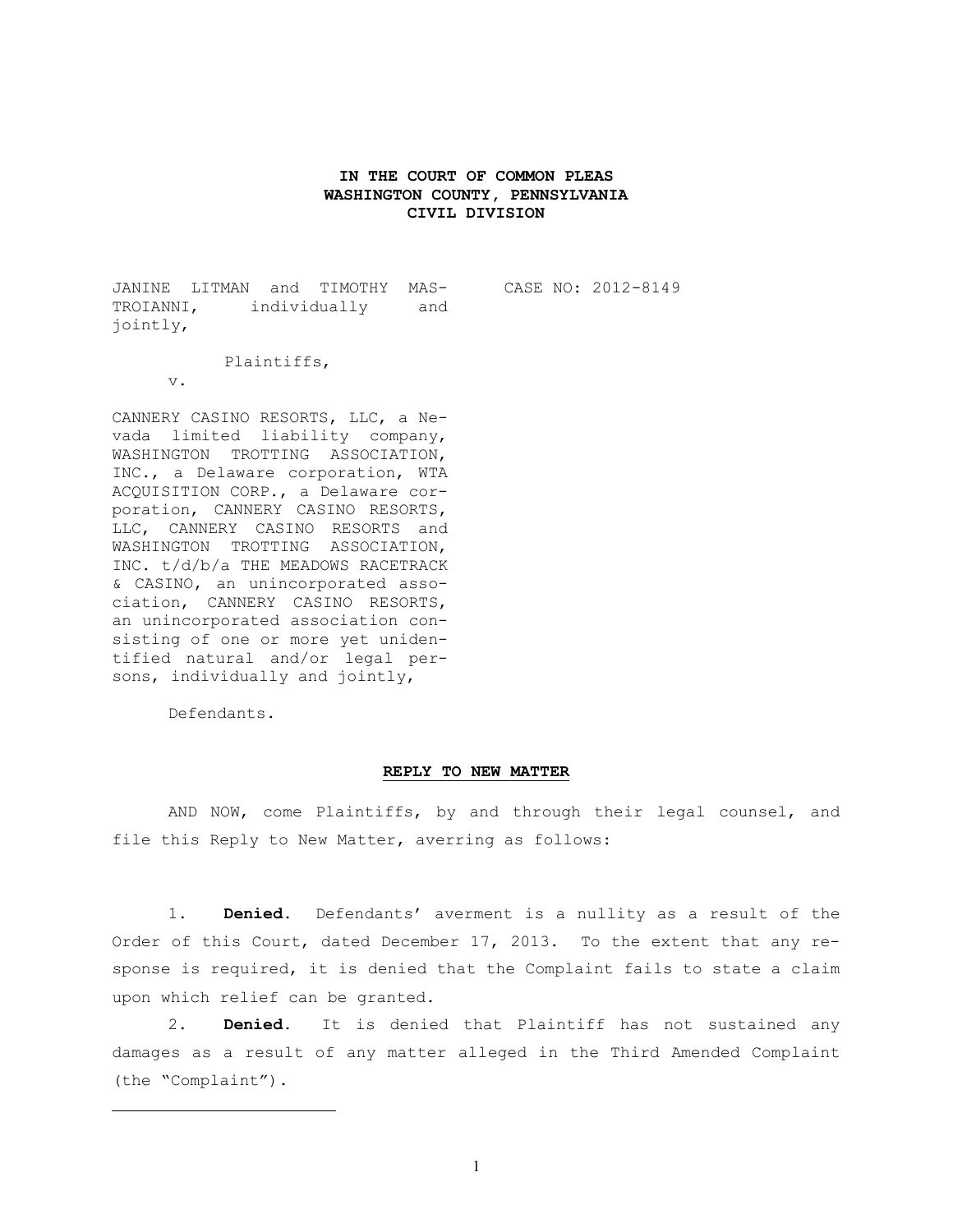### **IN THE COURT OF COMMON PLEAS WASHINGTON COUNTY, PENNSYLVANIA CIVIL DIVISION**

JANINE LITMAN and TIMOTHY MAS-TROIANNI, individually and jointly,

CASE NO: 2012-8149

Plaintiffs,

v.

CANNERY CASINO RESORTS, LLC, a Nevada limited liability company, WASHINGTON TROTTING ASSOCIATION, INC., a Delaware corporation, WTA ACQUISITION CORP., a Delaware corporation, CANNERY CASINO RESORTS, LLC, CANNERY CASINO RESORTS and WASHINGTON TROTTING ASSOCIATION, INC. t/d/b/a THE MEADOWS RACETRACK & CASINO, an unincorporated association, CANNERY CASINO RESORTS, an unincorporated association consisting of one or more yet unidentified natural and/or legal persons, individually and jointly,

Defendants.

 $\overline{a}$ 

#### **REPLY TO NEW MATTER**

AND NOW, come Plaintiffs, by and through their legal counsel, and file this Reply to New Matter, averring as follows:

1. **Denied.** Defendants' averment is a nullity as a result of the Order of this Court, dated December 17, 2013. To the extent that any response is required, it is denied that the Complaint fails to state a claim upon which relief can be granted.

2. **Denied.** It is denied that Plaintiff has not sustained any damages as a result of any matter alleged in the Third Amended Complaint (the "Complaint").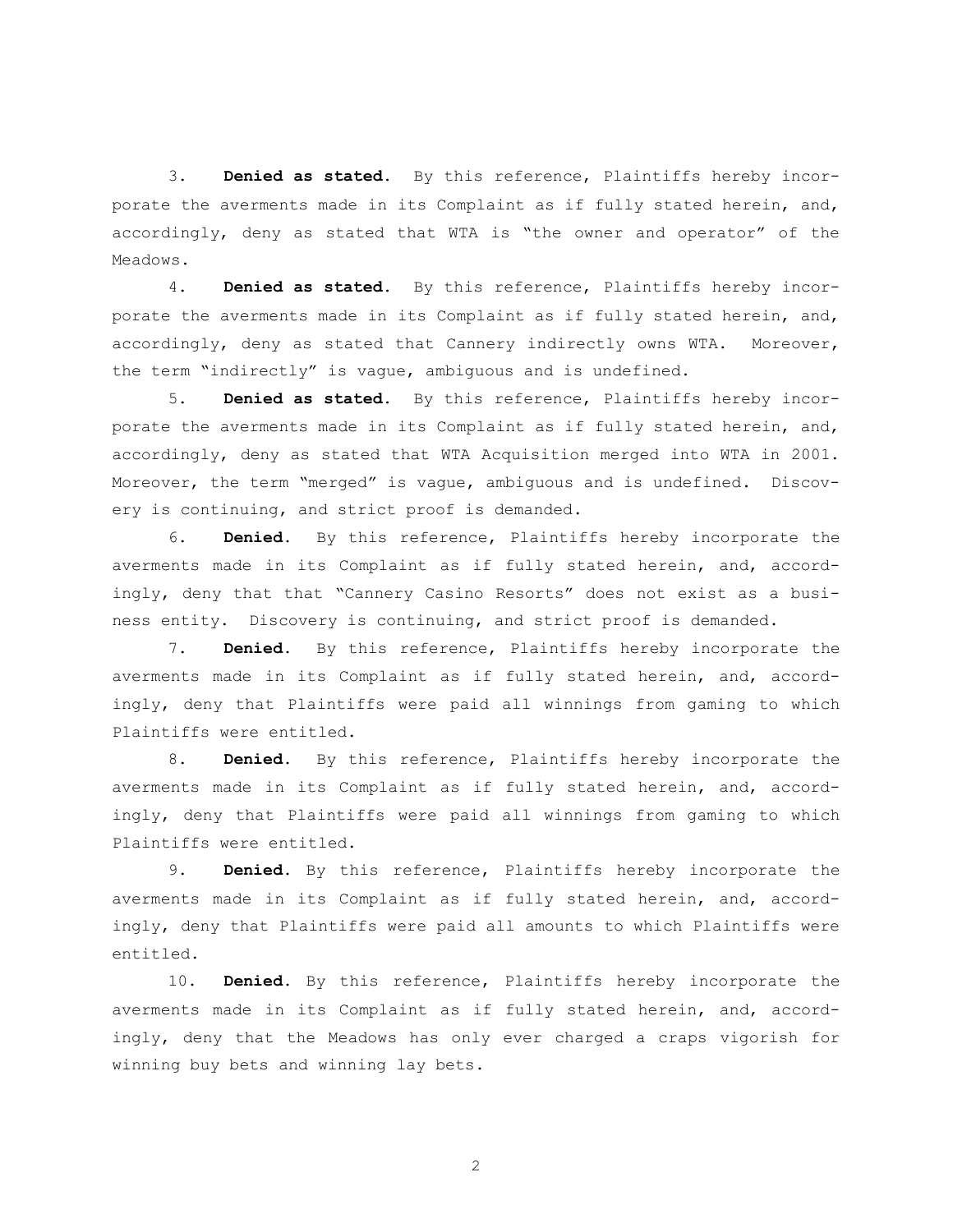3. **Denied as stated.** By this reference, Plaintiffs hereby incorporate the averments made in its Complaint as if fully stated herein, and, accordingly, deny as stated that WTA is "the owner and operator" of the Meadows.

4. **Denied as stated.** By this reference, Plaintiffs hereby incorporate the averments made in its Complaint as if fully stated herein, and, accordingly, deny as stated that Cannery indirectly owns WTA. Moreover, the term "indirectly" is vague, ambiguous and is undefined.

5. **Denied as stated.** By this reference, Plaintiffs hereby incorporate the averments made in its Complaint as if fully stated herein, and, accordingly, deny as stated that WTA Acquisition merged into WTA in 2001. Moreover, the term "merged" is vague, ambiguous and is undefined. Discovery is continuing, and strict proof is demanded.

6. **Denied.** By this reference, Plaintiffs hereby incorporate the averments made in its Complaint as if fully stated herein, and, accordingly, deny that that "Cannery Casino Resorts" does not exist as a business entity. Discovery is continuing, and strict proof is demanded.

7. **Denied.** By this reference, Plaintiffs hereby incorporate the averments made in its Complaint as if fully stated herein, and, accordingly, deny that Plaintiffs were paid all winnings from gaming to which Plaintiffs were entitled.

8. **Denied.** By this reference, Plaintiffs hereby incorporate the averments made in its Complaint as if fully stated herein, and, accordingly, deny that Plaintiffs were paid all winnings from gaming to which Plaintiffs were entitled.

9. **Denied.** By this reference, Plaintiffs hereby incorporate the averments made in its Complaint as if fully stated herein, and, accordingly, deny that Plaintiffs were paid all amounts to which Plaintiffs were entitled.

10. **Denied.** By this reference, Plaintiffs hereby incorporate the averments made in its Complaint as if fully stated herein, and, accordingly, deny that the Meadows has only ever charged a craps vigorish for winning buy bets and winning lay bets.

2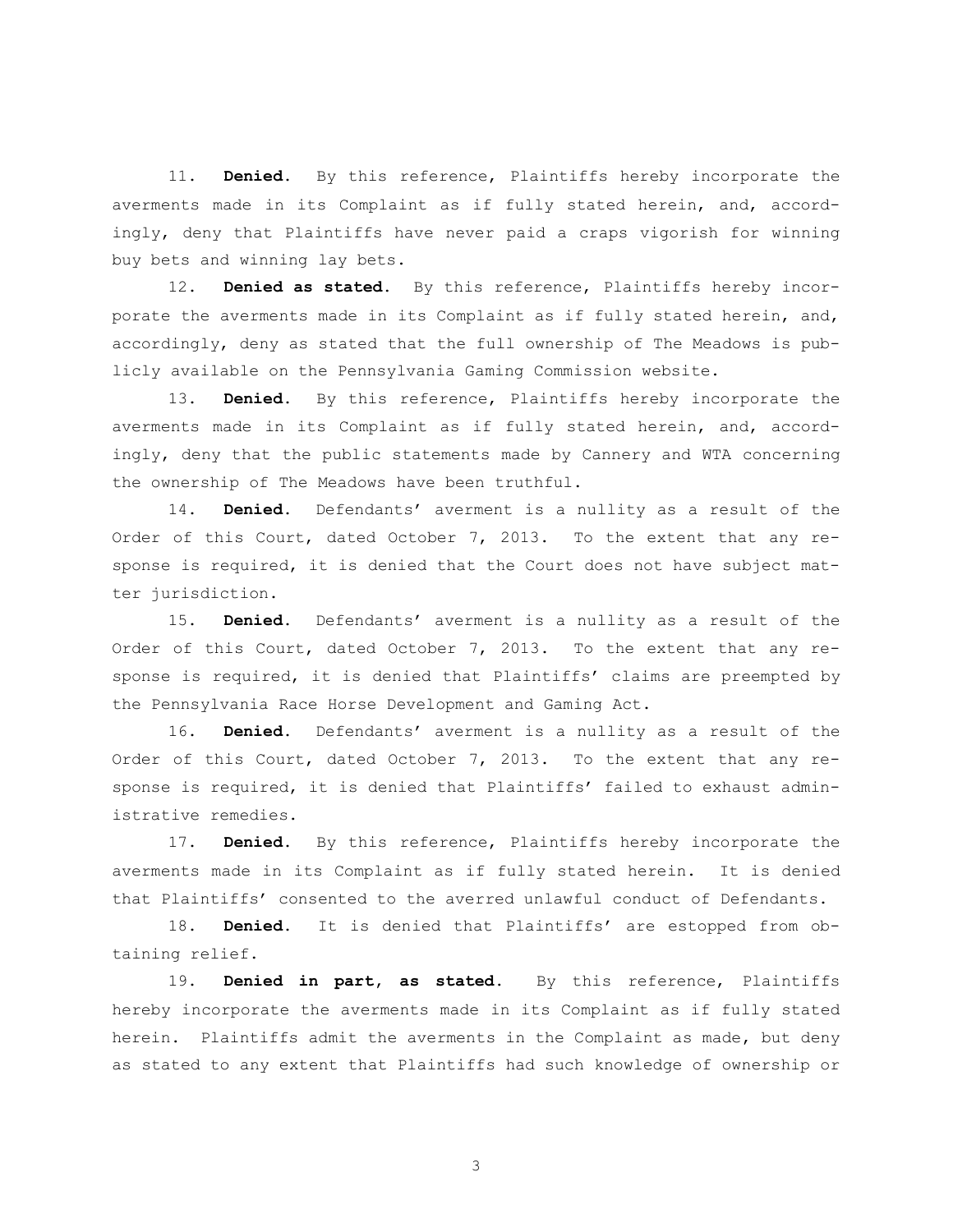11. **Denied.** By this reference, Plaintiffs hereby incorporate the averments made in its Complaint as if fully stated herein, and, accordingly, deny that Plaintiffs have never paid a craps vigorish for winning buy bets and winning lay bets.

12. **Denied as stated.** By this reference, Plaintiffs hereby incorporate the averments made in its Complaint as if fully stated herein, and, accordingly, deny as stated that the full ownership of The Meadows is publicly available on the Pennsylvania Gaming Commission website.

13. **Denied.** By this reference, Plaintiffs hereby incorporate the averments made in its Complaint as if fully stated herein, and, accordingly, deny that the public statements made by Cannery and WTA concerning the ownership of The Meadows have been truthful.

14. **Denied.** Defendants' averment is a nullity as a result of the Order of this Court, dated October 7, 2013. To the extent that any response is required, it is denied that the Court does not have subject matter jurisdiction.

15. **Denied.** Defendants' averment is a nullity as a result of the Order of this Court, dated October 7, 2013. To the extent that any response is required, it is denied that Plaintiffs' claims are preempted by the Pennsylvania Race Horse Development and Gaming Act.

16. **Denied.** Defendants' averment is a nullity as a result of the Order of this Court, dated October 7, 2013. To the extent that any response is required, it is denied that Plaintiffs' failed to exhaust administrative remedies.

17. **Denied.** By this reference, Plaintiffs hereby incorporate the averments made in its Complaint as if fully stated herein. It is denied that Plaintiffs' consented to the averred unlawful conduct of Defendants.

18. **Denied.** It is denied that Plaintiffs' are estopped from obtaining relief.

19. **Denied in part, as stated.** By this reference, Plaintiffs hereby incorporate the averments made in its Complaint as if fully stated herein. Plaintiffs admit the averments in the Complaint as made, but deny as stated to any extent that Plaintiffs had such knowledge of ownership or

3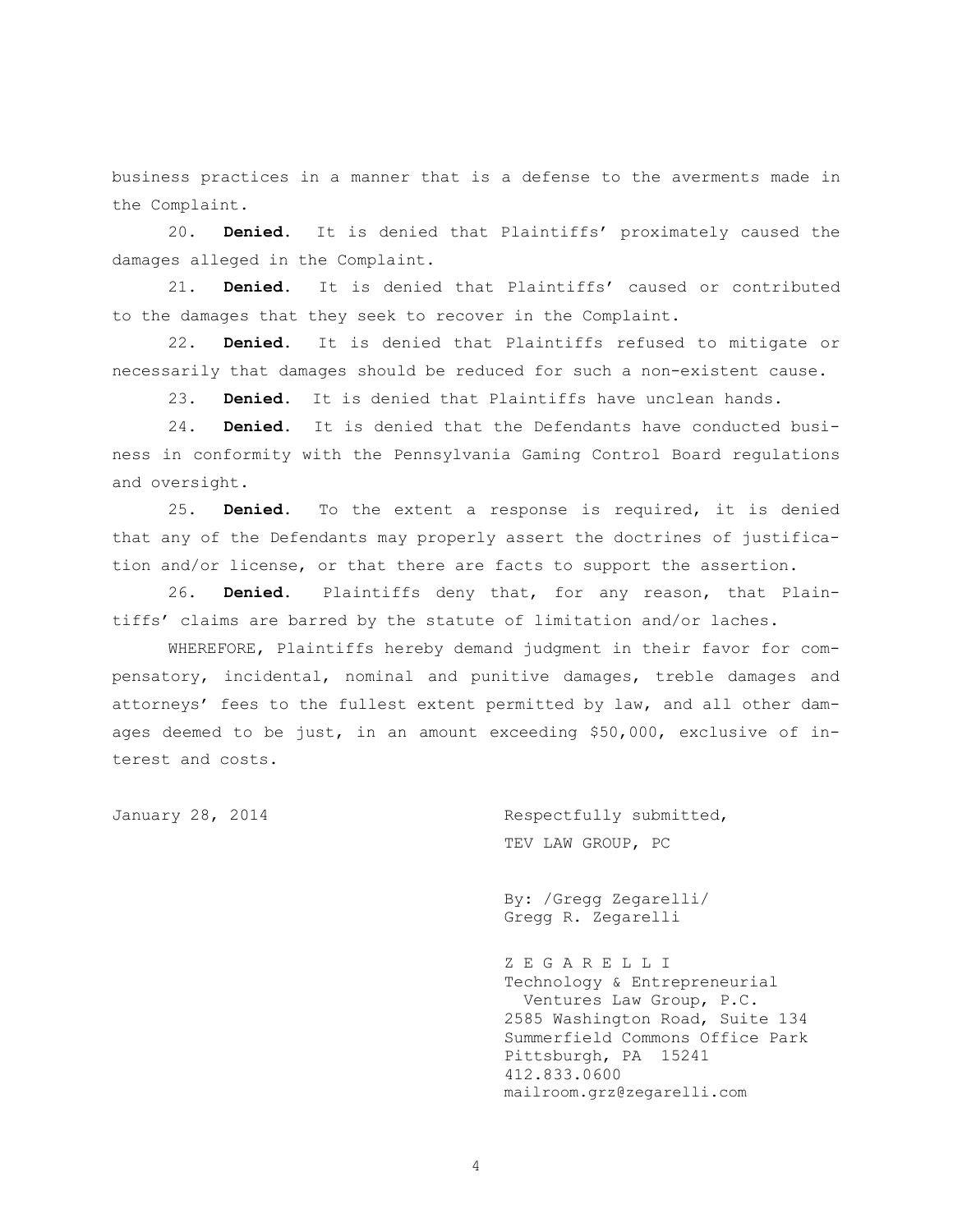business practices in a manner that is a defense to the averments made in the Complaint.

20. **Denied.** It is denied that Plaintiffs' proximately caused the damages alleged in the Complaint.

21. **Denied.** It is denied that Plaintiffs' caused or contributed to the damages that they seek to recover in the Complaint.

22. **Denied.** It is denied that Plaintiffs refused to mitigate or necessarily that damages should be reduced for such a non-existent cause.

23. **Denied.** It is denied that Plaintiffs have unclean hands.

24. **Denied.** It is denied that the Defendants have conducted business in conformity with the Pennsylvania Gaming Control Board regulations and oversight.

25. **Denied.** To the extent a response is required, it is denied that any of the Defendants may properly assert the doctrines of justification and/or license, or that there are facts to support the assertion.

26. **Denied.** Plaintiffs deny that, for any reason, that Plaintiffs' claims are barred by the statute of limitation and/or laches.

WHEREFORE, Plaintiffs hereby demand judgment in their favor for compensatory, incidental, nominal and punitive damages, treble damages and attorneys' fees to the fullest extent permitted by law, and all other damages deemed to be just, in an amount exceeding \$50,000, exclusive of interest and costs.

January 28, 2014 **Respectfully submitted**, TEV LAW GROUP, PC

> By: /Gregg Zegarelli/ Gregg R. Zegarelli

Z E G A R E L L I Technology & Entrepreneurial Ventures Law Group, P.C. 2585 Washington Road, Suite 134 Summerfield Commons Office Park Pittsburgh, PA 15241 412.833.0600 mailroom.grz@zegarelli.com

4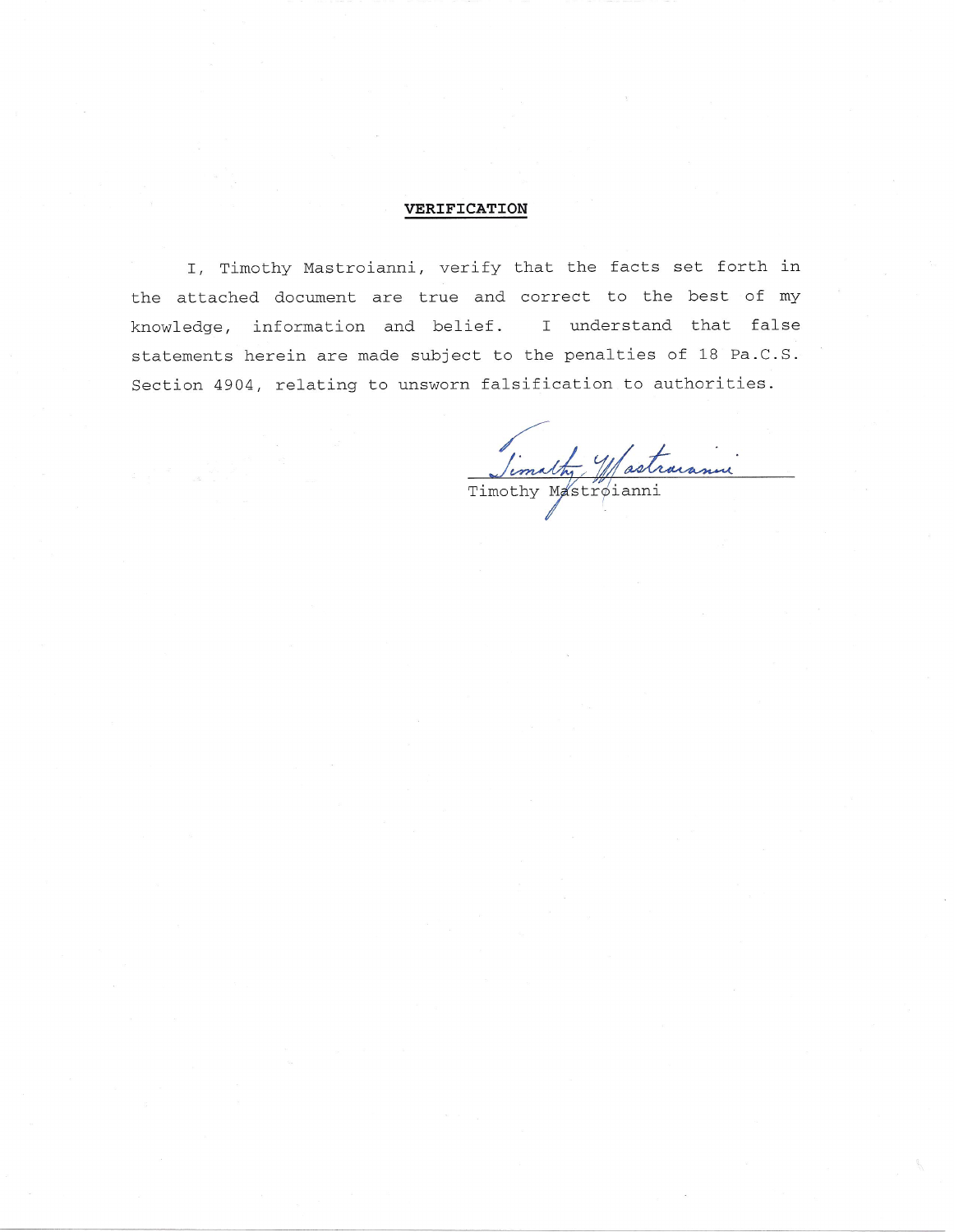# **VERIFICATION**

I, Timothy Mastroianni, verify that the facts set forth in the attached document are true and correct to the best of my knowledge, information and belief. I understand that false statements herein are made subject to the penalties of 18 Pa.C.S. Section 4904, relating to unsworn falsification to authorities.

Timathy Mastraranni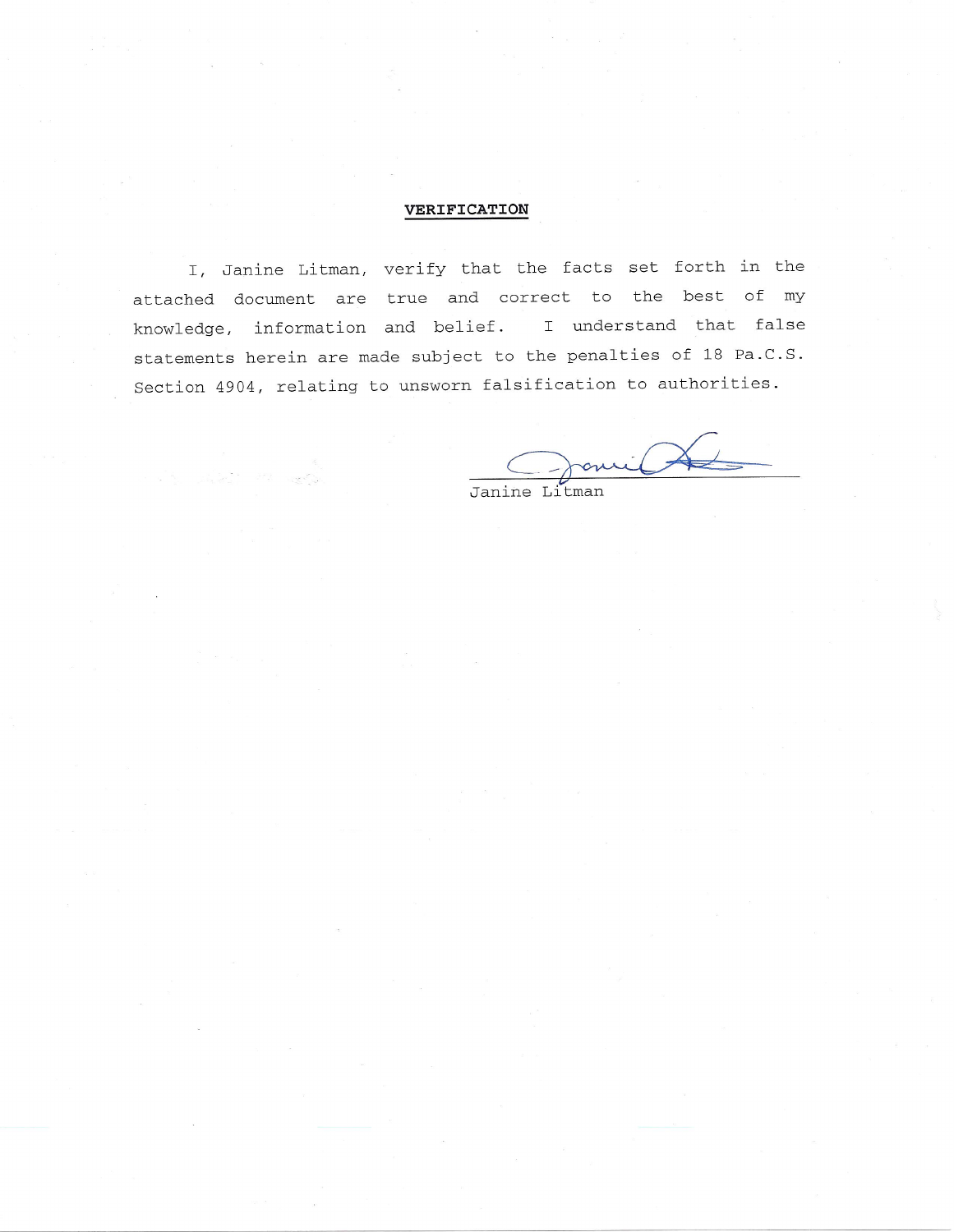# VERIFICATION

I, Janine Litman, verify that the facts set forth in the attached document are true and correct to the best of my knowledge, information and belief. I understand that false statements herein are made subject to the penalties of 18 Pa.C.S. Section 4904, relating to unsworn falsification to authorities.

 $\rightarrow$ omil Janine Litman